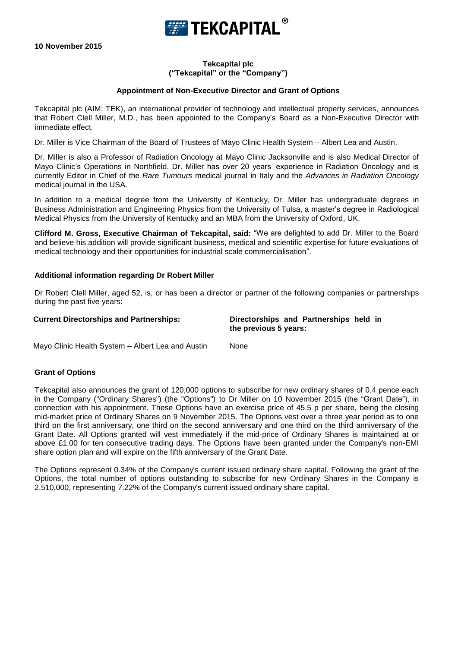**FEE TEKCAPITAL** 

**10 November 2015**

## **Tekcapital plc ("Tekcapital" or the "Company")**

## **Appointment of Non-Executive Director and Grant of Options**

Tekcapital plc (AIM: TEK), an international provider of technology and intellectual property services, announces that Robert Clell Miller, M.D., has been appointed to the Company's Board as a Non-Executive Director with immediate effect.

Dr. Miller is Vice Chairman of the Board of Trustees of Mayo Clinic Health System – Albert Lea and Austin.

Dr. Miller is also a Professor of Radiation Oncology at Mayo Clinic Jacksonville and is also Medical Director of Mayo Clinic's Operations in Northfield. Dr. Miller has over 20 years' experience in Radiation Oncology and is currently Editor in Chief of the *Rare Tumours* medical journal in Italy and the *Advances in Radiation Oncology* medical journal in the USA.

In addition to a medical degree from the University of Kentucky, Dr. Miller has undergraduate degrees in Business Administration and Engineering Physics from the University of Tulsa, a master's degree in Radiological Medical Physics from the University of Kentucky and an MBA from the University of Oxford, UK.

**Clifford M. Gross, Executive Chairman of Tekcapital, said:** "We are delighted to add Dr. Miller to the Board and believe his addition will provide significant business, medical and scientific expertise for future evaluations of medical technology and their opportunities for industrial scale commercialisation".

### **Additional information regarding Dr Robert Miller**

Dr Robert Clell Miller, aged 52, is, or has been a director or partner of the following companies or partnerships during the past five years:

**Current Directorships and Partnerships: Directorships and Partnerships held in the previous 5 years:**

Mayo Clinic Health System – Albert Lea and Austin None

### **Grant of Options**

Tekcapital also announces the grant of 120,000 options to subscribe for new ordinary shares of 0.4 pence each in the Company ("Ordinary Shares") (the "Options") to Dr Miller on 10 November 2015 (the "Grant Date"), in connection with his appointment. These Options have an exercise price of 45.5 p per share, being the closing mid-market price of Ordinary Shares on 9 November 2015. The Options vest over a three year period as to one third on the first anniversary, one third on the second anniversary and one third on the third anniversary of the Grant Date. All Options granted will vest immediately if the mid-price of Ordinary Shares is maintained at or above £1.00 for ten consecutive trading days. The Options have been granted under the Company's non-EMI share option plan and will expire on the fifth anniversary of the Grant Date.

The Options represent 0.34% of the Company's current issued ordinary share capital. Following the grant of the Options, the total number of options outstanding to subscribe for new Ordinary Shares in the Company is 2,510,000, representing 7.22% of the Company's current issued ordinary share capital.